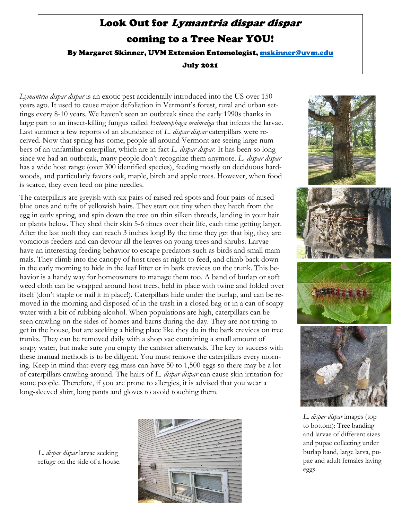## Look Out for Lymantria dispar dispar coming to a Tree Near YOU!

By Margaret Skinner, UVM Extension Entomologist, [mskinner@uvm.edu](mailto:mskinner@uvm.edu)

July 2021

*Lymantria dispar dispar* is an exotic pest accidentally introduced into the US over 150 years ago. It used to cause major defoliation in Vermont's forest, rural and urban settings every 8-10 years. We haven't seen an outbreak since the early 1990s thanks in large part to an insect-killing fungus called *Entomophaga maimaiga* that infects the larvae. Last summer a few reports of an abundance of *L. dispar dispar* caterpillars were received. Now that spring has come, people all around Vermont are seeing large numbers of an unfamiliar caterpillar, which are in fact *L. dispar dispar*. It has been so long since we had an outbreak, many people don't recognize them anymore. *L. dispar dispar* has a wide host range (over 300 identified species), feeding mostly on deciduous hardwoods, and particularly favors oak, maple, birch and apple trees. However, when food is scarce, they even feed on pine needles.

The caterpillars are greyish with six pairs of raised red spots and four pairs of raised blue ones and tufts of yellowish hairs. They start out tiny when they hatch from the egg in early spring, and spin down the tree on thin silken threads, landing in your hair or plants below. They shed their skin 5-6 times over their life, each time getting larger. After the last molt they can reach 3 inches long! By the time they get that big, they are voracious feeders and can devour all the leaves on young trees and shrubs. Larvae have an interesting feeding behavior to escape predators such as birds and small mammals. They climb into the canopy of host trees at night to feed, and climb back down in the early morning to hide in the leaf litter or in bark crevices on the trunk. This behavior is a handy way for homeowners to manage them too. A band of burlap or soft weed cloth can be wrapped around host trees, held in place with twine and folded over itself (don't staple or nail it in place!). Caterpillars hide under the burlap, and can be removed in the morning and disposed of in the trash in a closed bag or in a can of soapy water with a bit of rubbing alcohol. When populations are high, caterpillars can be seen crawling on the sides of homes and barns during the day. They are not trying to get in the house, but are seeking a hiding place like they do in the bark crevices on tree trunks. They can be removed daily with a shop vac containing a small amount of soapy water, but make sure you empty the canister afterwards. The key to success with these manual methods is to be diligent. You must remove the caterpillars every morning. Keep in mind that every egg mass can have 50 to 1,500 eggs so there may be a lot of caterpillars crawling around. The hairs of *L. dispar dispar* can cause skin irritation for some people. Therefore, if you are prone to allergies, it is advised that you wear a long-sleeved shirt, long pants and gloves to avoid touching them.







*L. dispar dispar* images (top to bottom): Tree banding and larvae of different sizes and pupae collecting under burlap band, large larva, pupae and adult females laying eggs.